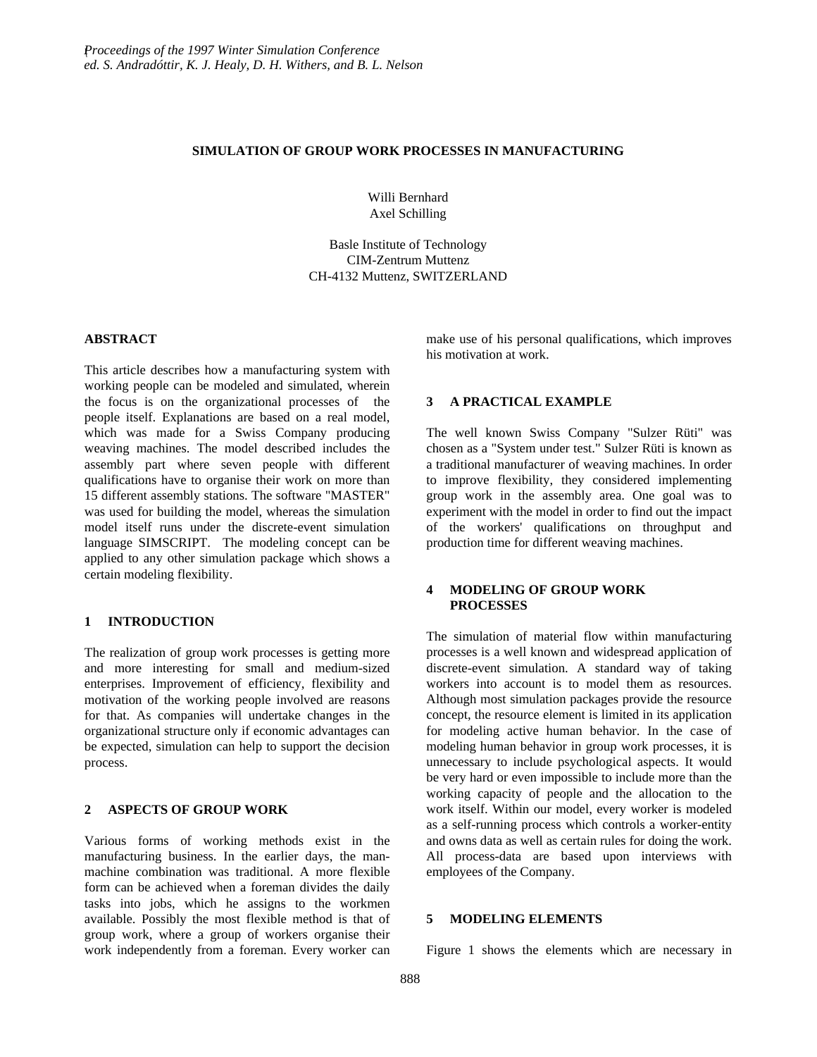#### **SIMULATION OF GROUP WORK PROCESSES IN MANUFACTURING**

Willi Bernhard Axel Schilling

Basle Institute of Technology CIM-Zentrum Muttenz CH-4132 Muttenz, SWITZERLAND

## **ABSTRACT**

This article describes how a manufacturing system with working people can be modeled and simulated, wherein the focus is on the organizational processes of the people itself. Explanations are based on a real model, which was made for a Swiss Company producing weaving machines. The model described includes the assembly part where seven people with different qualifications have to organise their work on more than 15 different assembly stations. The software "MASTER" was used for building the model, whereas the simulation model itself runs under the discrete-event simulation language SIMSCRIPT. The modeling concept can be applied to any other simulation package which shows a certain modeling flexibility.

# **1 INTRODUCTION**

The realization of group work processes is getting more and more interesting for small and medium-sized enterprises. Improvement of efficiency, flexibility and motivation of the working people involved are reasons for that. As companies will undertake changes in the organizational structure only if economic advantages can be expected, simulation can help to support the decision process.

### **2 ASPECTS OF GROUP WORK**

Various forms of working methods exist in the manufacturing business. In the earlier days, the manmachine combination was traditional. A more flexible form can be achieved when a foreman divides the daily tasks into jobs, which he assigns to the workmen available. Possibly the most flexible method is that of group work, where a group of workers organise their work independently from a foreman. Every worker can make use of his personal qualifications, which improves his motivation at work.

#### **3 A PRACTICAL EXAMPLE**

The well known Swiss Company "Sulzer Rüti" was chosen as a "System under test." Sulzer Rüti is known as a traditional manufacturer of weaving machines. In order to improve flexibility, they considered implementing group work in the assembly area. One goal was to experiment with the model in order to find out the impact of the workers' qualifications on throughput and production time for different weaving machines.

## **4 MODELING OF GROUP WORK PROCESSES**

The simulation of material flow within manufacturing processes is a well known and widespread application of discrete-event simulation. A standard way of taking workers into account is to model them as resources. Although most simulation packages provide the resource concept, the resource element is limited in its application for modeling active human behavior. In the case of modeling human behavior in group work processes, it is unnecessary to include psychological aspects. It would be very hard or even impossible to include more than the working capacity of people and the allocation to the work itself. Within our model, every worker is modeled as a self-running process which controls a worker-entity and owns data as well as certain rules for doing the work. All process-data are based upon interviews with employees of the Company.

### **5 MODELING ELEMENTS**

Figure 1 shows the elements which are necessary in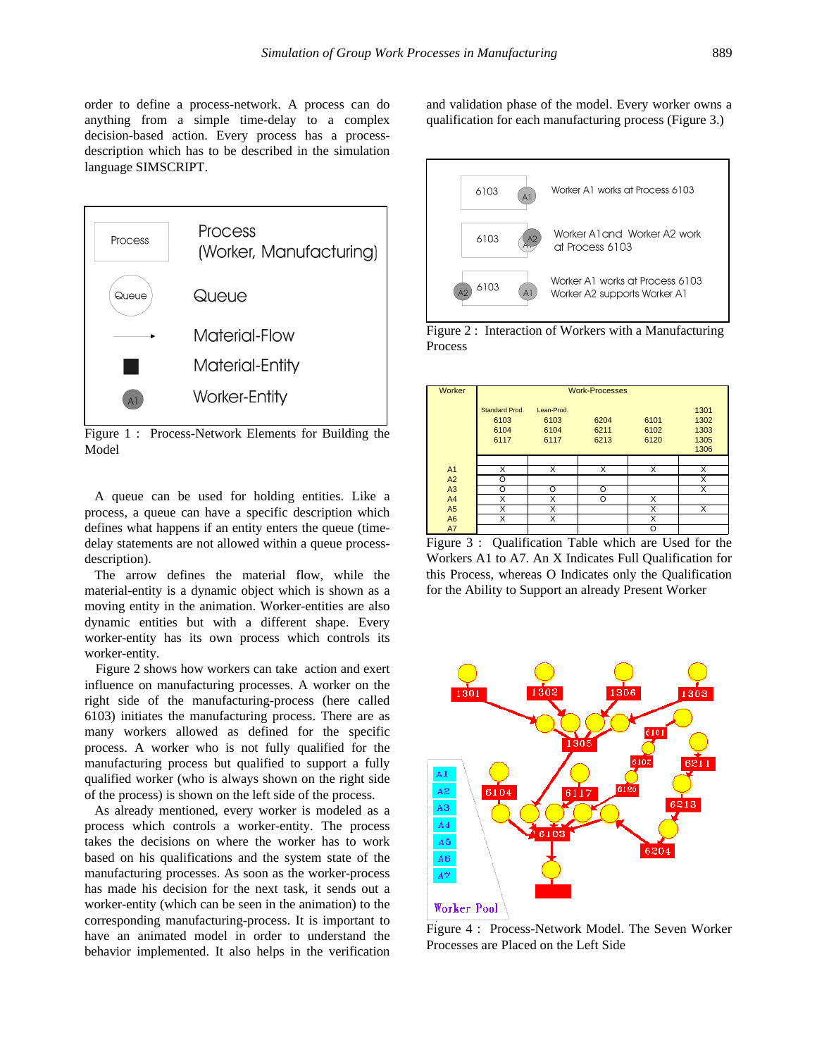order to define a process-network. A process can do anything from a simple time-delay to a complex decision-based action. Every process has a processdescription which has to be described in the simulation language SIMSCRIPT.



Figure 1 : Process-Network Elements for Building the Model

 A queue can be used for holding entities. Like a process, a queue can have a specific description which defines what happens if an entity enters the queue (timedelay statements are not allowed within a queue processdescription).

 The arrow defines the material flow, while the material-entity is a dynamic object which is shown as a moving entity in the animation. Worker-entities are also dynamic entities but with a different shape. Every worker-entity has its own process which controls its worker-entity.

 Figure 2 shows how workers can take action and exert influence on manufacturing processes. A worker on the right side of the manufacturing-process (here called 6103) initiates the manufacturing process. There are as many workers allowed as defined for the specific process. A worker who is not fully qualified for the manufacturing process but qualified to support a fully qualified worker (who is always shown on the right side of the process) is shown on the left side of the process.

 As already mentioned, every worker is modeled as a process which controls a worker-entity. The process takes the decisions on where the worker has to work based on his qualifications and the system state of the manufacturing processes. As soon as the worker-process has made his decision for the next task, it sends out a worker-entity (which can be seen in the animation) to the corresponding manufacturing-process. It is important to have an animated model in order to understand the behavior implemented. It also helps in the verification

and validation phase of the model. Every worker owns a qualification for each manufacturing process (Figure 3.)





| Worker         | <b>Work-Processes</b>                  |                                    |                      |                      |                                      |  |
|----------------|----------------------------------------|------------------------------------|----------------------|----------------------|--------------------------------------|--|
|                | Standard Prod.<br>6103<br>6104<br>6117 | Lean-Prod.<br>6103<br>6104<br>6117 | 6204<br>6211<br>6213 | 6101<br>6102<br>6120 | 1301<br>1302<br>1303<br>1305<br>1306 |  |
|                |                                        |                                    |                      |                      |                                      |  |
| A <sub>1</sub> | X                                      | X                                  | X                    | X                    | X                                    |  |
| A2             | O                                      |                                    |                      |                      | X                                    |  |
| A <sub>3</sub> | O                                      | O                                  | O                    |                      | X                                    |  |
| A <sub>4</sub> | X                                      | X                                  | O                    | X                    |                                      |  |
| A5             | X                                      | X                                  |                      | X                    | X                                    |  |
| A <sub>6</sub> | X                                      | X                                  |                      | X                    |                                      |  |
| A7             |                                        |                                    |                      | O                    |                                      |  |

Figure 3 : Qualification Table which are Used for the Workers A1 to A7. An X Indicates Full Qualification for this Process, whereas O Indicates only the Qualification for the Ability to Support an already Present Worker



Figure 4 : Process-Network Model. The Seven Worker Processes are Placed on the Left Side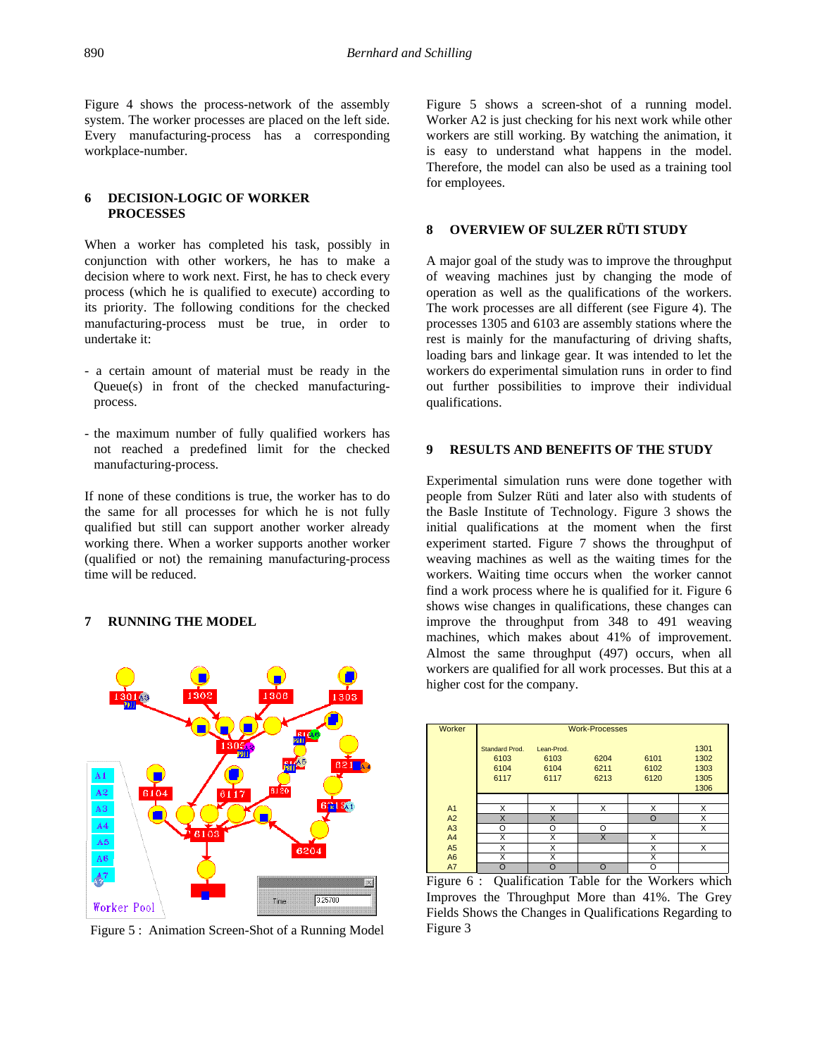Figure 4 shows the process-network of the assembly system. The worker processes are placed on the left side. Every manufacturing-process has a corresponding workplace-number.

## **6 DECISION-LOGIC OF WORKER PROCESSES**

When a worker has completed his task, possibly in conjunction with other workers, he has to make a decision where to work next. First, he has to check every process (which he is qualified to execute) according to its priority. The following conditions for the checked manufacturing-process must be true, in order to undertake it:

- a certain amount of material must be ready in the Queue(s) in front of the checked manufacturingprocess.
- the maximum number of fully qualified workers has not reached a predefined limit for the checked manufacturing-process.

If none of these conditions is true, the worker has to do the same for all processes for which he is not fully qualified but still can support another worker already working there. When a worker supports another worker (qualified or not) the remaining manufacturing-process time will be reduced.

#### **7 RUNNING THE MODEL**



Figure 5 : Animation Screen-Shot of a Running Model

Figure 5 shows a screen-shot of a running model. Worker A2 is just checking for his next work while other workers are still working. By watching the animation, it is easy to understand what happens in the model. Therefore, the model can also be used as a training tool for employees.

### **8 OVERVIEW OF SULZER RÜTI STUDY**

A major goal of the study was to improve the throughput of weaving machines just by changing the mode of operation as well as the qualifications of the workers. The work processes are all different (see Figure 4). The processes 1305 and 6103 are assembly stations where the rest is mainly for the manufacturing of driving shafts, loading bars and linkage gear. It was intended to let the workers do experimental simulation runs in order to find out further possibilities to improve their individual qualifications.

## **9 RESULTS AND BENEFITS OF THE STUDY**

Experimental simulation runs were done together with people from Sulzer Rüti and later also with students of the Basle Institute of Technology. Figure 3 shows the initial qualifications at the moment when the first experiment started. Figure 7 shows the throughput of weaving machines as well as the waiting times for the workers. Waiting time occurs when the worker cannot find a work process where he is qualified for it. Figure 6 shows wise changes in qualifications, these changes can improve the throughput from 348 to 491 weaving machines, which makes about 41% of improvement. Almost the same throughput (497) occurs, when all workers are qualified for all work processes. But this at a higher cost for the company.

| Worker         | <b>Work-Processes</b>                  |                                    |                      |                      |                                      |  |
|----------------|----------------------------------------|------------------------------------|----------------------|----------------------|--------------------------------------|--|
|                | Standard Prod.<br>6103<br>6104<br>6117 | Lean-Prod.<br>6103<br>6104<br>6117 | 6204<br>6211<br>6213 | 6101<br>6102<br>6120 | 1301<br>1302<br>1303<br>1305<br>1306 |  |
|                |                                        |                                    |                      |                      |                                      |  |
| A <sub>1</sub> | х                                      | X                                  | x                    | X                    | X                                    |  |
| A2             | X                                      | X                                  |                      | $\Omega$             | X                                    |  |
| A3             | O                                      | O                                  | Ω                    |                      | X                                    |  |
| A4             | X                                      | X                                  | X                    | X                    |                                      |  |
| A5             | X                                      | X                                  |                      | X                    | X                                    |  |
| A <sub>6</sub> | X                                      | X                                  |                      | X                    |                                      |  |
| A7             | O                                      | $\Omega$                           | ∩                    | O                    |                                      |  |

Figure 6 : Qualification Table for the Workers which Improves the Throughput More than 41%. The Grey Fields Shows the Changes in Qualifications Regarding to Figure 3